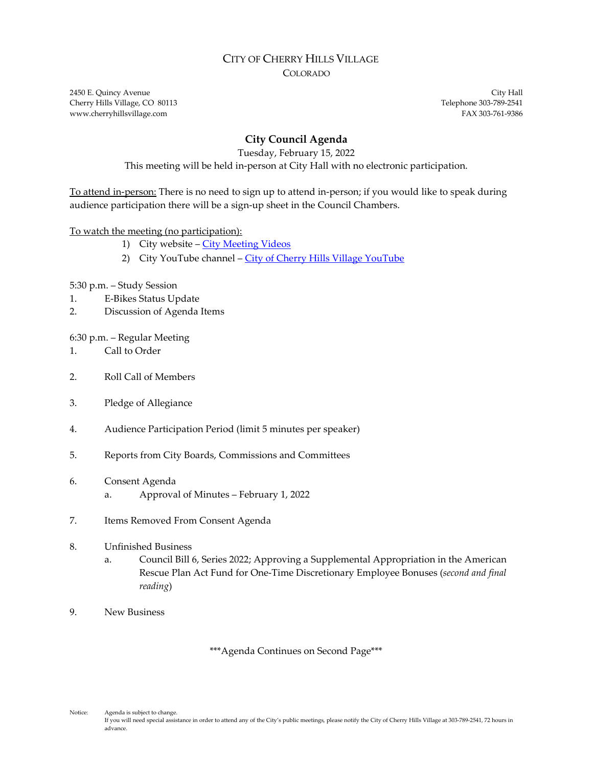### CITY OF CHERRY HILLS VILLAGE COLORADO

2450 E. Quincy Avenue City Hall Cherry Hills Village, CO 80113 Telephone 303-789-2541 www.cherryhillsvillage.com **FAX 303-761-9386** 

# **City Council Agenda**

Tuesday, February 15, 2022

This meeting will be held in-person at City Hall with no electronic participation.

To attend in-person: There is no need to sign up to attend in-person; if you would like to speak during audience participation there will be a sign-up sheet in the Council Chambers.

### To watch the meeting (no participation):

- 1) City website [City Meeting Videos](http://www.cherryhillsvillage.com/501/Council-Videos-Agendas-Packets-Minutes)
- 2) City YouTube channel [City of Cherry Hills Village YouTube](https://www.youtube.com/channel/UCHY4MgJ1gekrqDW949gW7Gw)

5:30 p.m. – Study Session

- 1. E-Bikes Status Update
- 2. Discussion of Agenda Items

### 6:30 p.m. – Regular Meeting

- 1. Call to Order
- 2. Roll Call of Members
- 3. Pledge of Allegiance
- 4. Audience Participation Period (limit 5 minutes per speaker)
- 5. Reports from City Boards, Commissions and Committees
- 6. Consent Agenda
	- a. Approval of Minutes February 1, 2022
- 7. Items Removed From Consent Agenda
- 8. Unfinished Business
	- a. Council Bill 6, Series 2022; Approving a Supplemental Appropriation in the American Rescue Plan Act Fund for One-Time Discretionary Employee Bonuses (*second and final reading*)
- 9. New Business

\*\*\*Agenda Continues on Second Page\*\*\*

Notice: Agenda is subject to change. If you will need special assistance in order to attend any of the City's public meetings, please notify the City of Cherry Hills Village at 303-789-2541, 72 hours in advance.